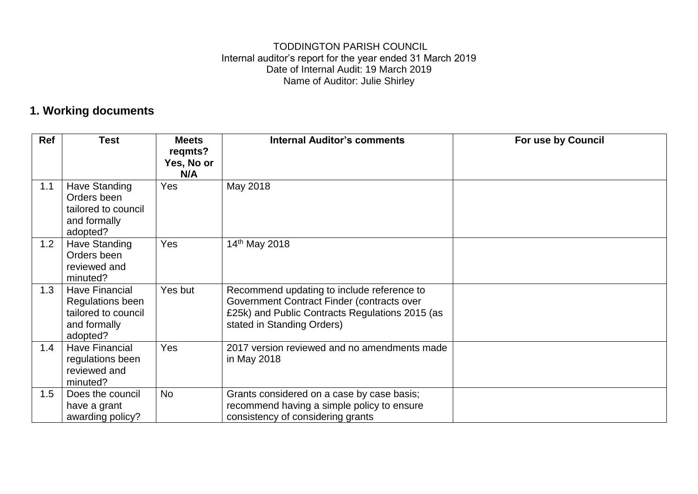#### TODDINGTON PARISH COUNCIL Internal auditor's report for the year ended 31 March 2019 Date of Internal Audit: 19 March 2019 Name of Auditor: Julie Shirley

#### **1. Working documents**

| Ref | <b>Test</b>                                                                                  | <b>Meets</b><br>regmts?<br>Yes, No or | <b>Internal Auditor's comments</b>                                                                                                                                        | For use by Council |
|-----|----------------------------------------------------------------------------------------------|---------------------------------------|---------------------------------------------------------------------------------------------------------------------------------------------------------------------------|--------------------|
|     |                                                                                              | N/A                                   |                                                                                                                                                                           |                    |
| 1.1 | <b>Have Standing</b><br>Orders been<br>tailored to council<br>and formally<br>adopted?       | Yes                                   | May 2018                                                                                                                                                                  |                    |
| 1.2 | Have Standing<br>Orders been<br>reviewed and<br>minuted?                                     | Yes                                   | 14 <sup>th</sup> May 2018                                                                                                                                                 |                    |
| 1.3 | <b>Have Financial</b><br>Regulations been<br>tailored to council<br>and formally<br>adopted? | Yes but                               | Recommend updating to include reference to<br>Government Contract Finder (contracts over<br>£25k) and Public Contracts Regulations 2015 (as<br>stated in Standing Orders) |                    |
| 1.4 | <b>Have Financial</b><br>regulations been<br>reviewed and<br>minuted?                        | Yes                                   | 2017 version reviewed and no amendments made<br>in May 2018                                                                                                               |                    |
| 1.5 | Does the council<br>have a grant<br>awarding policy?                                         | No                                    | Grants considered on a case by case basis;<br>recommend having a simple policy to ensure<br>consistency of considering grants                                             |                    |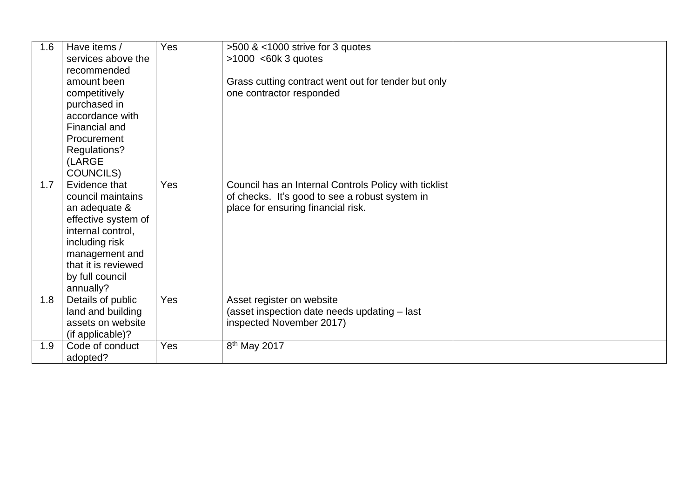| 1.6 | Have items /<br>services above the<br>recommended<br>amount been<br>competitively<br>purchased in<br>accordance with<br>Financial and<br>Procurement                                       | Yes | >500 & <1000 strive for 3 quotes<br>$>1000$ <60k 3 quotes<br>Grass cutting contract went out for tender but only<br>one contractor responded  |  |
|-----|--------------------------------------------------------------------------------------------------------------------------------------------------------------------------------------------|-----|-----------------------------------------------------------------------------------------------------------------------------------------------|--|
|     | Regulations?<br>(LARGE<br><b>COUNCILS)</b>                                                                                                                                                 |     |                                                                                                                                               |  |
| 1.7 | Evidence that<br>council maintains<br>an adequate &<br>effective system of<br>internal control,<br>including risk<br>management and<br>that it is reviewed<br>by full council<br>annually? | Yes | Council has an Internal Controls Policy with ticklist<br>of checks. It's good to see a robust system in<br>place for ensuring financial risk. |  |
| 1.8 | Details of public<br>land and building<br>assets on website<br>(if applicable)?                                                                                                            | Yes | Asset register on website<br>(asset inspection date needs updating - last<br>inspected November 2017)                                         |  |
| 1.9 | Code of conduct<br>adopted?                                                                                                                                                                | Yes | 8 <sup>th</sup> May 2017                                                                                                                      |  |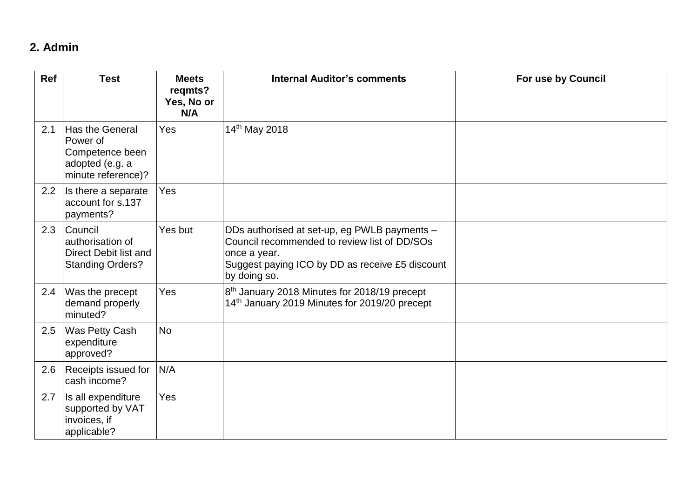### **2. Admin**

| Ref | <b>Test</b>                                                                             | <b>Meets</b><br>regmts?<br>Yes, No or<br>N/A | <b>Internal Auditor's comments</b>                                                                                                                                              | For use by Council |
|-----|-----------------------------------------------------------------------------------------|----------------------------------------------|---------------------------------------------------------------------------------------------------------------------------------------------------------------------------------|--------------------|
| 2.1 | Has the General<br>Power of<br>Competence been<br>adopted (e.g. a<br>minute reference)? | Yes                                          | 14th May 2018                                                                                                                                                                   |                    |
| 2.2 | Is there a separate<br>account for s.137<br>payments?                                   | Yes                                          |                                                                                                                                                                                 |                    |
| 2.3 | Council<br>authorisation of<br>Direct Debit list and<br><b>Standing Orders?</b>         | Yes but                                      | DDs authorised at set-up, eg PWLB payments -<br>Council recommended to review list of DD/SOs<br>once a year.<br>Suggest paying ICO by DD as receive £5 discount<br>by doing so. |                    |
| 2.4 | Was the precept<br>demand properly<br>minuted?                                          | Yes                                          | 8 <sup>th</sup> January 2018 Minutes for 2018/19 precept<br>14th January 2019 Minutes for 2019/20 precept                                                                       |                    |
| 2.5 | Was Petty Cash<br>expenditure<br>approved?                                              | <b>No</b>                                    |                                                                                                                                                                                 |                    |
| 2.6 | Receipts issued for<br>cash income?                                                     | N/A                                          |                                                                                                                                                                                 |                    |
| 2.7 | Is all expenditure<br>supported by VAT<br>invoices, if<br>applicable?                   | Yes                                          |                                                                                                                                                                                 |                    |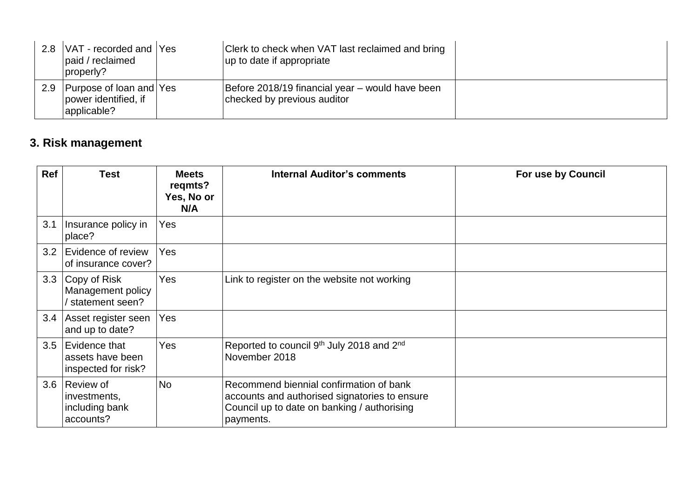|     | 2.8   VAT - recorded and   Yes<br>paid / reclaimed<br>properly? | Clerk to check when VAT last reclaimed and bring<br>up to date if appropriate  |  |
|-----|-----------------------------------------------------------------|--------------------------------------------------------------------------------|--|
| 2.9 | Purpose of loan and Yes<br>power identified, if<br>applicable?  | Before 2018/19 financial year – would have been<br>checked by previous auditor |  |

# **3. Risk management**

| <b>Ref</b> | <b>Test</b>                                              | <b>Meets</b><br>regmts?<br>Yes, No or<br>N/A | <b>Internal Auditor's comments</b>                                                                                                                   | For use by Council |
|------------|----------------------------------------------------------|----------------------------------------------|------------------------------------------------------------------------------------------------------------------------------------------------------|--------------------|
| 3.1        | Insurance policy in<br>place?                            | Yes                                          |                                                                                                                                                      |                    |
| 3.2        | Evidence of review<br>of insurance cover?                | Yes                                          |                                                                                                                                                      |                    |
| 3.3        | Copy of Risk<br>Management policy<br>statement seen?     | Yes                                          | Link to register on the website not working                                                                                                          |                    |
| 3.4        | Asset register seen<br>and up to date?                   | Yes                                          |                                                                                                                                                      |                    |
| 3.5        | Evidence that<br>assets have been<br>inspected for risk? | <b>Yes</b>                                   | Reported to council 9 <sup>th</sup> July 2018 and 2 <sup>nd</sup><br>November 2018                                                                   |                    |
| 3.6        | Review of<br>investments,<br>including bank<br>accounts? | No                                           | Recommend biennial confirmation of bank<br>accounts and authorised signatories to ensure<br>Council up to date on banking / authorising<br>payments. |                    |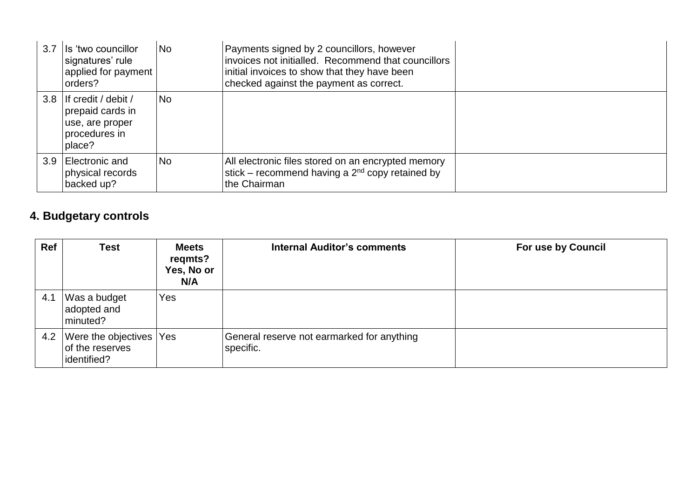| 3.7 | Ils 'two councillor<br>signatures' rule<br>applied for payment<br>orders?                 | No.       | Payments signed by 2 councillors, however<br>invoices not initialled. Recommend that councillors<br>initial invoices to show that they have been<br>checked against the payment as correct. |  |
|-----|-------------------------------------------------------------------------------------------|-----------|---------------------------------------------------------------------------------------------------------------------------------------------------------------------------------------------|--|
|     | 3.8 If credit / debit /<br>prepaid cards in<br>use, are proper<br>procedures in<br>place? | <b>No</b> |                                                                                                                                                                                             |  |
|     | 3.9 Electronic and<br>physical records<br>backed up?                                      | <b>No</b> | All electronic files stored on an encrypted memory<br>stick – recommend having a $2nd$ copy retained by<br>the Chairman                                                                     |  |

## **4. Budgetary controls**

| Ref | <b>Test</b>                                               | <b>Meets</b><br>regmts?<br>Yes, No or<br>N/A | <b>Internal Auditor's comments</b>                      | <b>For use by Council</b> |
|-----|-----------------------------------------------------------|----------------------------------------------|---------------------------------------------------------|---------------------------|
| 4.1 | Was a budget<br>adopted and<br>minuted?                   | Yes                                          |                                                         |                           |
| 4.2 | Were the objectives Yes<br>of the reserves<br>identified? |                                              | General reserve not earmarked for anything<br>specific. |                           |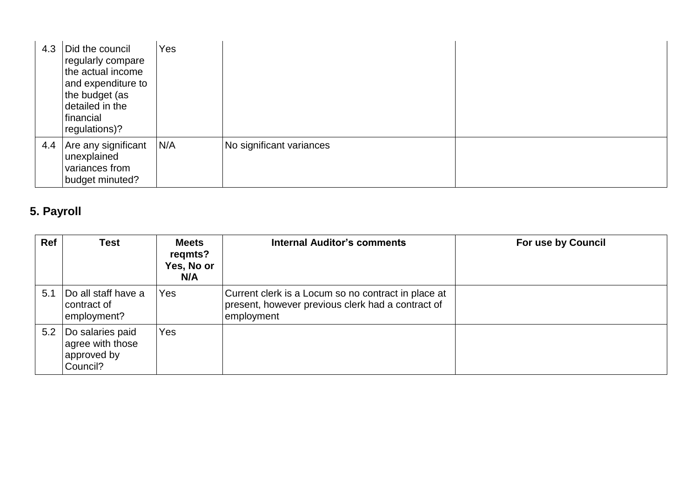| 4.3 | Did the council<br>regularly compare<br>the actual income<br>and expenditure to<br>the budget (as<br>detailed in the<br>financial<br>regulations)? | Yes |                          |  |
|-----|----------------------------------------------------------------------------------------------------------------------------------------------------|-----|--------------------------|--|
| 4.4 | Are any significant<br>unexplained<br>variances from<br>budget minuted?                                                                            | N/A | No significant variances |  |

## **5. Payroll**

| Ref | <b>Test</b>                                                     | <b>Meets</b><br>regmts?<br>Yes, No or<br>N/A | <b>Internal Auditor's comments</b>                                                                                     | For use by Council |
|-----|-----------------------------------------------------------------|----------------------------------------------|------------------------------------------------------------------------------------------------------------------------|--------------------|
| 5.1 | Do all staff have a<br>contract of<br>employment?               | Yes                                          | Current clerk is a Locum so no contract in place at<br>present, however previous clerk had a contract of<br>employment |                    |
| 5.2 | Do salaries paid<br>agree with those<br>approved by<br>Council? | Yes                                          |                                                                                                                        |                    |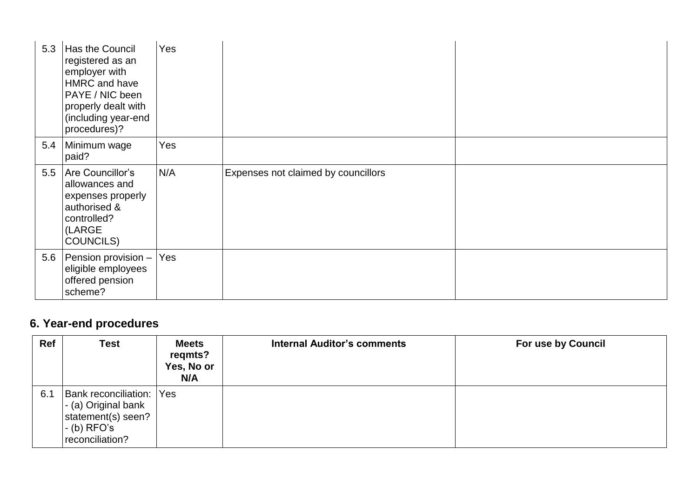| 5.3 | Has the Council<br>registered as an<br>employer with<br>HMRC and have<br>PAYE / NIC been<br>properly dealt with<br>(including year-end<br>procedures)? | Yes |                                     |  |
|-----|--------------------------------------------------------------------------------------------------------------------------------------------------------|-----|-------------------------------------|--|
| 5.4 | Minimum wage<br>paid?                                                                                                                                  | Yes |                                     |  |
| 5.5 | Are Councillor's<br>allowances and<br>expenses properly<br>authorised &<br>controlled?<br>(LARGE<br><b>COUNCILS)</b>                                   | N/A | Expenses not claimed by councillors |  |
|     | 5.6 Pension provision $-$<br>eligible employees<br>offered pension<br>scheme?                                                                          | Yes |                                     |  |

# **6. Year-end procedures**

| <b>Ref</b> | <b>Test</b>                                                                                                       | <b>Meets</b><br>regmts?<br>Yes, No or<br>N/A | <b>Internal Auditor's comments</b> | <b>For use by Council</b> |
|------------|-------------------------------------------------------------------------------------------------------------------|----------------------------------------------|------------------------------------|---------------------------|
| 6.1        | <b>Bank reconciliation: Yes</b><br> - (a) Original bank<br>statement(s) seen?<br>$-$ (b) RFO's<br>reconciliation? |                                              |                                    |                           |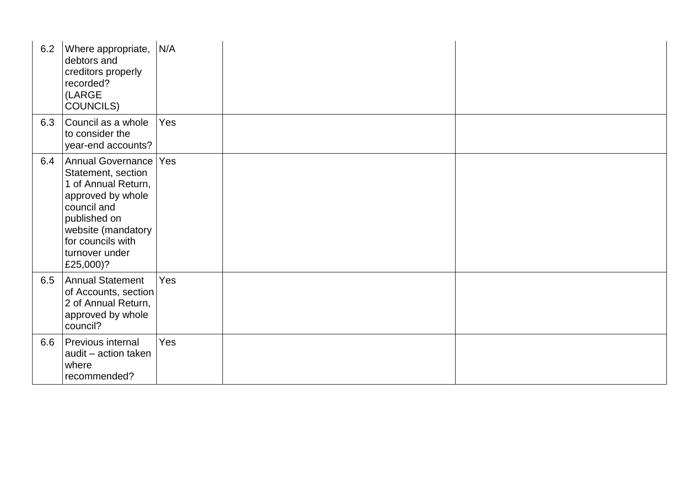| 6.2 | Where appropriate,<br>debtors and<br>creditors properly<br>recorded?<br>(LARGE<br>COUNCILS)                                                                                                  | N/A |  |
|-----|----------------------------------------------------------------------------------------------------------------------------------------------------------------------------------------------|-----|--|
| 6.3 | Council as a whole<br>to consider the<br>year-end accounts?                                                                                                                                  | Yes |  |
| 6.4 | Annual Governance<br>Statement, section<br>1 of Annual Return,<br>approved by whole<br>council and<br>published on<br>website (mandatory<br>for councils with<br>turnover under<br>£25,000)? | Yes |  |
| 6.5 | <b>Annual Statement</b><br>of Accounts, section<br>2 of Annual Return,<br>approved by whole<br>council?                                                                                      | Yes |  |
| 6.6 | Previous internal<br>audit - action taken<br>where<br>recommended?                                                                                                                           | Yes |  |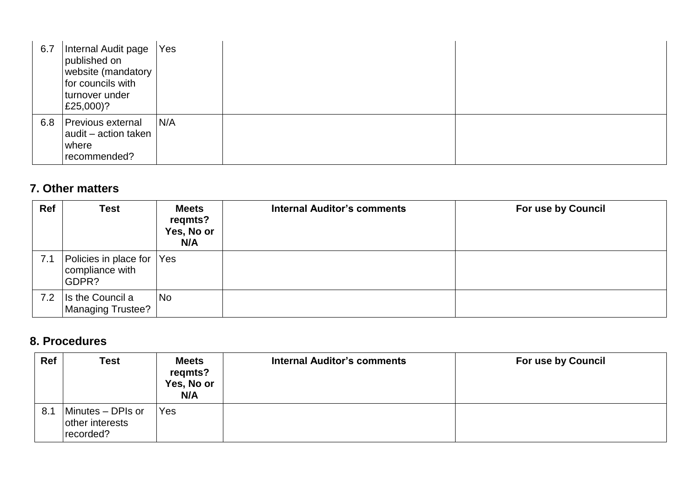| 6.7 | Internal Audit page<br>published on<br>website (mandatory<br>for councils with<br>turnover under<br>£25,000)? | Yes |
|-----|---------------------------------------------------------------------------------------------------------------|-----|
| 6.8 | <b>Previous external</b><br>audit - action taken<br>where<br>recommended?                                     | N/A |

#### **7. Other matters**

| Ref | <b>Test</b>                                       | <b>Meets</b><br>regmts?<br>Yes, No or<br>N/A | <b>Internal Auditor's comments</b> | <b>For use by Council</b> |
|-----|---------------------------------------------------|----------------------------------------------|------------------------------------|---------------------------|
| 7.1 | Policies in place for<br>compliance with<br>GDPR? | Yes                                          |                                    |                           |
| 7.2 | Is the Council a<br><b>Managing Trustee?</b>      | No                                           |                                    |                           |

#### **8. Procedures**

| Ref | <b>Test</b>                                       | <b>Meets</b><br>regmts?<br>Yes, No or<br>N/A | <b>Internal Auditor's comments</b> | <b>For use by Council</b> |
|-----|---------------------------------------------------|----------------------------------------------|------------------------------------|---------------------------|
| 8.1 | Minutes - DPIs or<br>other interests<br>recorded? | Yes                                          |                                    |                           |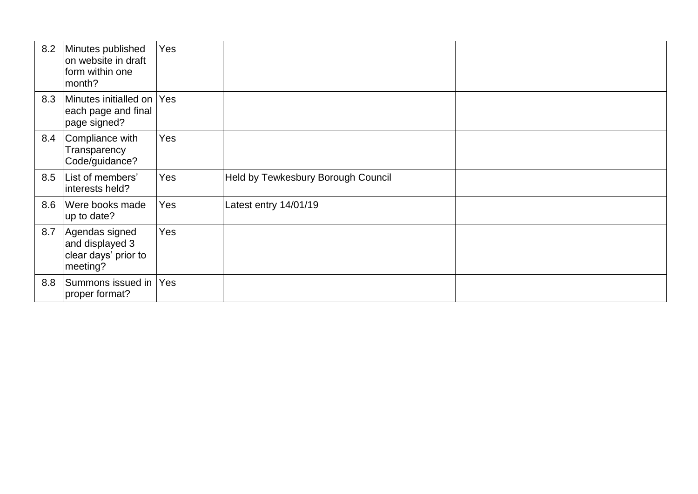| 8.2 | Minutes published<br>on website in draft<br>form within one<br>month? | Yes        |                                    |
|-----|-----------------------------------------------------------------------|------------|------------------------------------|
| 8.3 | Minutes initialled on<br>each page and final<br>page signed?          | <b>Yes</b> |                                    |
| 8.4 | Compliance with<br>Transparency<br>Code/guidance?                     | Yes        |                                    |
| 8.5 | List of members'<br>interests held?                                   | Yes        | Held by Tewkesbury Borough Council |
| 8.6 | Were books made<br>up to date?                                        | Yes        | Latest entry 14/01/19              |
| 8.7 | Agendas signed<br>and displayed 3<br>clear days' prior to<br>meeting? | Yes        |                                    |
| 8.8 | Summons issued in<br>proper format?                                   | Yes        |                                    |